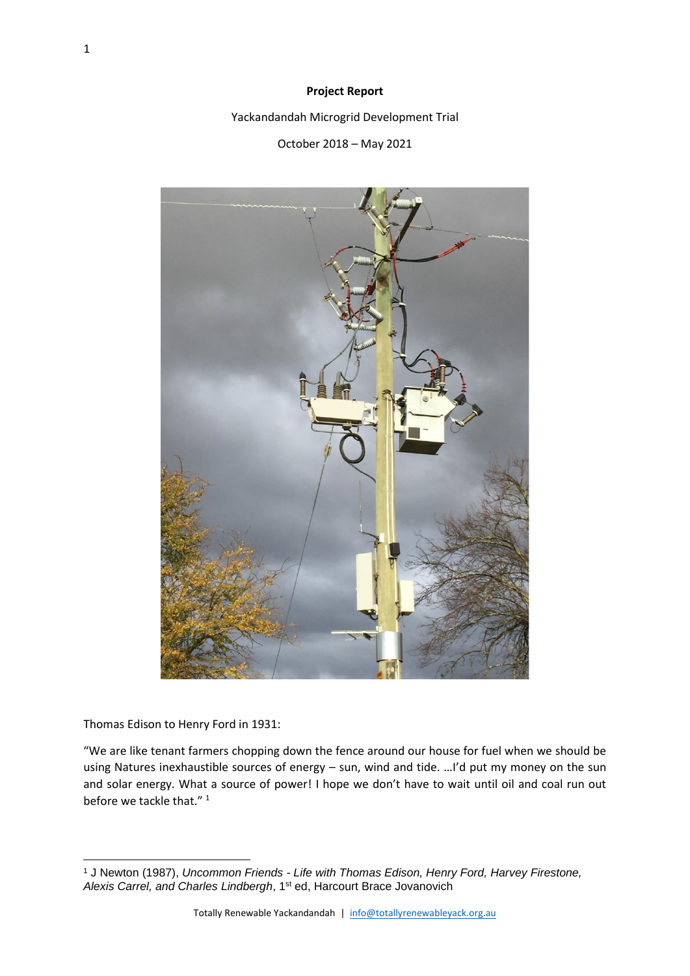### **Project Report**

Yackandandah Microgrid Development Trial

October 2018 – May 2021



Thomas Edison to Henry Ford in 1931:

"We are like tenant farmers chopping down the fence around our house for fuel when we should be using Natures inexhaustible sources of energy – sun, wind and tide. …I'd put my money on the sun and solar energy. What a source of power! I hope we don't have to wait until oil and coal run out before we tackle that."<sup>1</sup>

<sup>1</sup> J Newton (1987), *Uncommon Friends - Life with Thomas Edison, Henry Ford, Harvey Firestone, Alexis Carrel, and Charles Lindbergh*, 1st ed, Harcourt Brace Jovanovich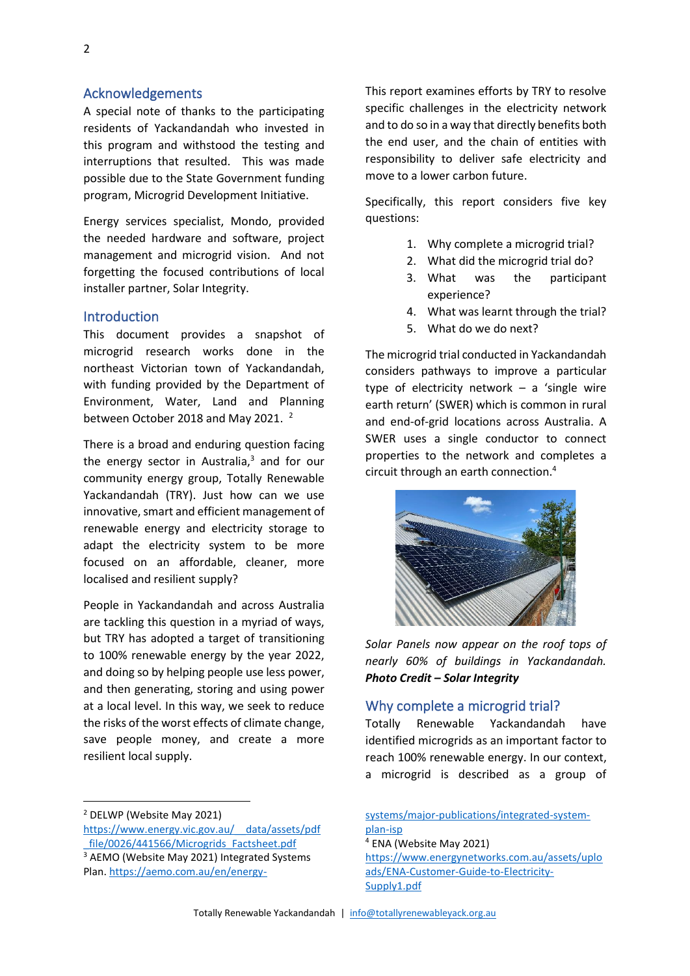## Acknowledgements

A special note of thanks to the participating residents of Yackandandah who invested in this program and withstood the testing and interruptions that resulted. This was made possible due to the State Government funding program, Microgrid Development Initiative.

Energy services specialist, Mondo, provided the needed hardware and software, project management and microgrid vision. And not forgetting the focused contributions of local installer partner, Solar Integrity.

# Introduction

This document provides a snapshot of microgrid research works done in the northeast Victorian town of Yackandandah, with funding provided by the Department of Environment, Water, Land and Planning between October 2018 and May 2021.<sup>2</sup>

There is a broad and enduring question facing the energy sector in Australia, <sup>3</sup> and for our community energy group, Totally Renewable Yackandandah (TRY). Just how can we use innovative, smart and efficient management of renewable energy and electricity storage to adapt the electricity system to be more focused on an affordable, cleaner, more localised and resilient supply?

People in Yackandandah and across Australia are tackling this question in a myriad of ways, but TRY has adopted a target of transitioning to 100% renewable energy by the year 2022, and doing so by helping people use less power, and then generating, storing and using power at a local level. In this way, we seek to reduce the risks of the worst effects of climate change, save people money, and create a more resilient local supply.

This report examines efforts by TRY to resolve specific challenges in the electricity network and to do so in a way that directly benefits both the end user, and the chain of entities with responsibility to deliver safe electricity and move to a lower carbon future.

Specifically, this report considers five key questions:

- 1. Why complete a microgrid trial?
- 2. What did the microgrid trial do?
- 3. What was the participant experience?
- 4. What was learnt through the trial?
- 5. What do we do next?

The microgrid trial conducted in Yackandandah considers pathways to improve a particular type of electricity network – a 'single wire earth return' (SWER) which is common in rural and end-of-grid locations across Australia. A SWER uses a single conductor to connect properties to the network and completes a circuit through an earth connection.<sup>4</sup>



*Solar Panels now appear on the roof tops of nearly 60% of buildings in Yackandandah. Photo Credit – Solar Integrity*

## Why complete a microgrid trial?

Totally Renewable Yackandandah have identified microgrids as an important factor to reach 100% renewable energy. In our context, a microgrid is described as a group of

<sup>2</sup> DELWP (Website May 2021)

[https://www.energy.vic.gov.au/\\_\\_data/assets/pdf](https://www.energy.vic.gov.au/__data/assets/pdf_file/0026/441566/Microgrids_Factsheet.pdf) [\\_file/0026/441566/Microgrids\\_Factsheet.pdf](https://www.energy.vic.gov.au/__data/assets/pdf_file/0026/441566/Microgrids_Factsheet.pdf) <sup>3</sup> AEMO (Website May 2021) Integrated Systems Plan[. https://aemo.com.au/en/energy-](https://aemo.com.au/en/energy-systems/major-publications/integrated-system-plan-isp)

[systems/major-publications/integrated-system](https://aemo.com.au/en/energy-systems/major-publications/integrated-system-plan-isp)[plan-isp](https://aemo.com.au/en/energy-systems/major-publications/integrated-system-plan-isp) <sup>4</sup> ENA (Website May 2021) [https://www.energynetworks.com.au/assets/uplo](https://www.energynetworks.com.au/assets/uploads/ENA-Customer-Guide-to-Electricity-Supply1.pdf) [ads/ENA-Customer-Guide-to-Electricity-](https://www.energynetworks.com.au/assets/uploads/ENA-Customer-Guide-to-Electricity-Supply1.pdf)[Supply1.pdf](https://www.energynetworks.com.au/assets/uploads/ENA-Customer-Guide-to-Electricity-Supply1.pdf)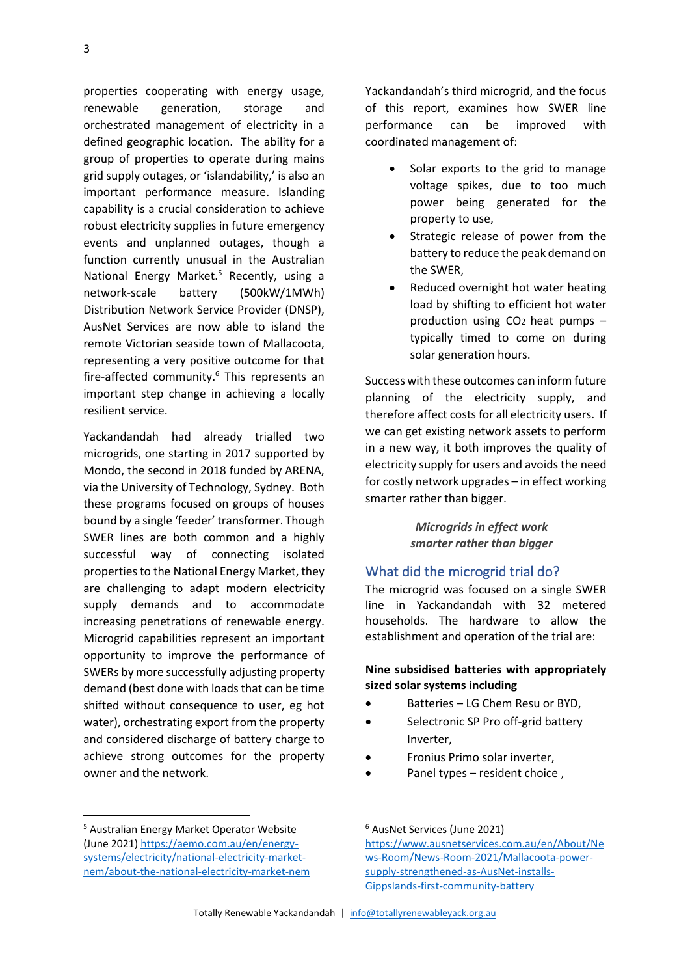properties cooperating with energy usage, renewable generation, storage and orchestrated management of electricity in a defined geographic location. The ability for a group of properties to operate during mains grid supply outages, or 'islandability,' is also an important performance measure. Islanding capability is a crucial consideration to achieve robust electricity supplies in future emergency events and unplanned outages, though a function currently unusual in the Australian National Energy Market.<sup>5</sup> Recently, using a network-scale battery (500kW/1MWh) Distribution Network Service Provider (DNSP), AusNet Services are now able to island the remote Victorian seaside town of Mallacoota, representing a very positive outcome for that fire-affected community.<sup>6</sup> This represents an important step change in achieving a locally resilient service.

Yackandandah had already trialled two microgrids, one starting in 2017 supported by Mondo, the second in 2018 funded by ARENA, via the University of Technology, Sydney. Both these programs focused on groups of houses bound by a single 'feeder' transformer. Though SWER lines are both common and a highly successful way of connecting isolated properties to the National Energy Market, they are challenging to adapt modern electricity supply demands and to accommodate increasing penetrations of renewable energy. Microgrid capabilities represent an important opportunity to improve the performance of SWERs by more successfully adjusting property demand (best done with loads that can be time shifted without consequence to user, eg hot water), orchestrating export from the property and considered discharge of battery charge to achieve strong outcomes for the property owner and the network.

Yackandandah's third microgrid, and the focus of this report, examines how SWER line performance can be improved with coordinated management of:

- Solar exports to the grid to manage voltage spikes, due to too much power being generated for the property to use,
- Strategic release of power from the battery to reduce the peak demand on the SWER,
- Reduced overnight hot water heating load by shifting to efficient hot water production using CO2 heat pumps – typically timed to come on during solar generation hours.

Success with these outcomes can inform future planning of the electricity supply, and therefore affect costs for all electricity users. If we can get existing network assets to perform in a new way, it both improves the quality of electricity supply for users and avoids the need for costly network upgrades – in effect working smarter rather than bigger.

> *Microgrids in effect work smarter rather than bigger*

### What did the microgrid trial do?

The microgrid was focused on a single SWER line in Yackandandah with 32 metered households. The hardware to allow the establishment and operation of the trial are:

## **Nine subsidised batteries with appropriately sized solar systems including**

- Batteries LG Chem Resu or BYD,
- Selectronic SP Pro off-grid battery Inverter,
- Fronius Primo solar inverter,
- Panel types resident choice ,

<sup>5</sup> Australian Energy Market Operator Website (June 2021) [https://aemo.com.au/en/energy](https://aemo.com.au/en/energy-systems/electricity/national-electricity-market-nem/about-the-national-electricity-market-nem)[systems/electricity/national-electricity-market](https://aemo.com.au/en/energy-systems/electricity/national-electricity-market-nem/about-the-national-electricity-market-nem)[nem/about-the-national-electricity-market-nem](https://aemo.com.au/en/energy-systems/electricity/national-electricity-market-nem/about-the-national-electricity-market-nem)

<sup>6</sup> AusNet Services (June 2021)

[https://www.ausnetservices.com.au/en/About/Ne](https://www.ausnetservices.com.au/en/About/News-Room/News-Room-2021/Mallacoota-power-supply-strengthened-as-AusNet-installs-Gippslands-first-community-battery) [ws-Room/News-Room-2021/Mallacoota-power](https://www.ausnetservices.com.au/en/About/News-Room/News-Room-2021/Mallacoota-power-supply-strengthened-as-AusNet-installs-Gippslands-first-community-battery)[supply-strengthened-as-AusNet-installs-](https://www.ausnetservices.com.au/en/About/News-Room/News-Room-2021/Mallacoota-power-supply-strengthened-as-AusNet-installs-Gippslands-first-community-battery)[Gippslands-first-community-battery](https://www.ausnetservices.com.au/en/About/News-Room/News-Room-2021/Mallacoota-power-supply-strengthened-as-AusNet-installs-Gippslands-first-community-battery)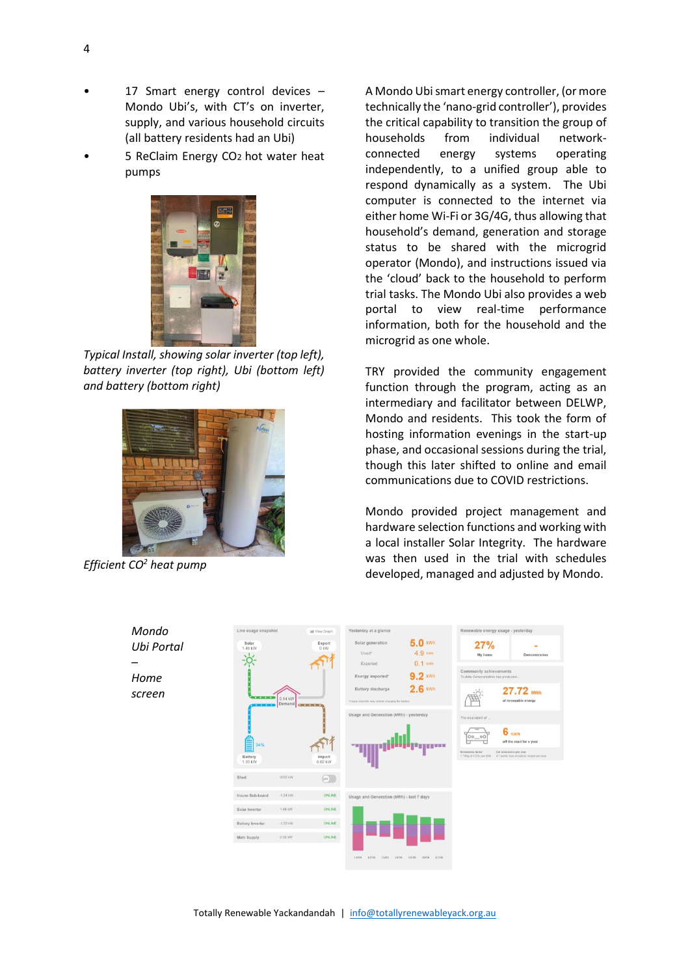- 17 Smart energy control devices -Mondo Ubi's, with CT's on inverter, supply, and various household circuits (all battery residents had an Ubi)
- 5 ReClaim Energy CO<sub>2</sub> hot water heat pumps



*Typical Install, showing solar inverter (top left), battery inverter (top right), Ubi (bottom left) and battery (bottom right)*



*Efficient CO<sup>2</sup> heat pump*

A Mondo Ubi smart energy controller, (or more technically the 'nano-grid controller'), provides the critical capability to transition the group of households from individual networkconnected energy systems operating independently, to a unified group able to respond dynamically as a system. The Ubi computer is connected to the internet via either home Wi-Fi or 3G/4G, thus allowing that household's demand, generation and storage status to be shared with the microgrid operator (Mondo), and instructions issued via the 'cloud' back to the household to perform trial tasks. The Mondo Ubi also provides a web portal to view real-time performance information, both for the household and the microgrid as one whole.

TRY provided the community engagement function through the program, acting as an intermediary and facilitator between DELWP, Mondo and residents. This took the form of hosting information evenings in the start-up phase, and occasional sessions during the trial, though this later shifted to online and email communications due to COVID restrictions.

Mondo provided project management and hardware selection functions and working with a local installer Solar Integrity. The hardware was then used in the trial with schedules developed, managed and adjusted by Mondo.

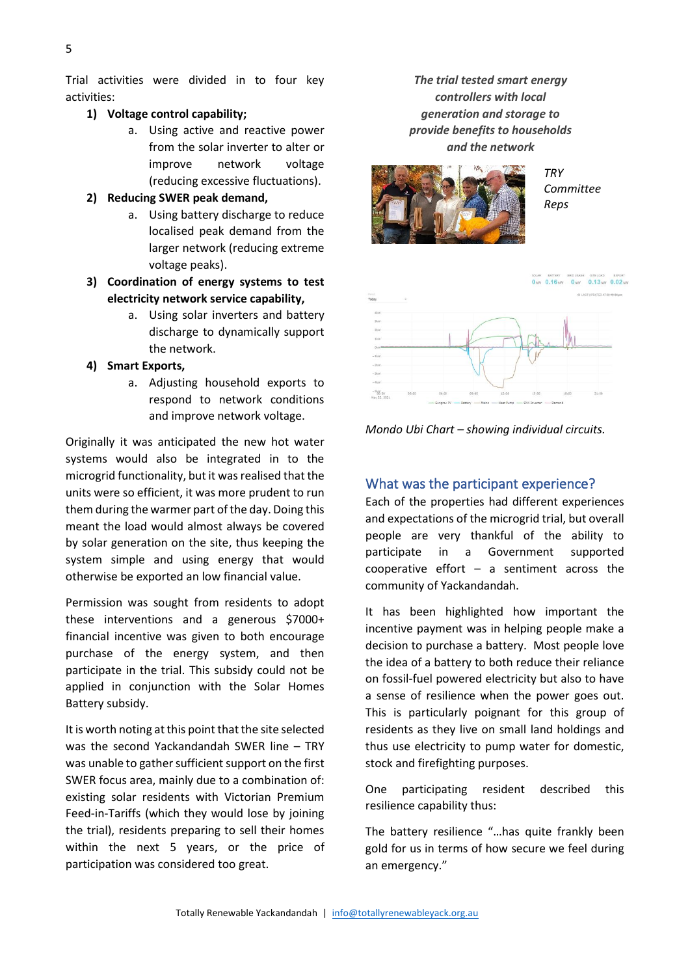Trial activities were divided in to four key activities:

#### **1) Voltage control capability;**

- a. Using active and reactive power from the solar inverter to alter or improve network voltage (reducing excessive fluctuations).
- **2) Reducing SWER peak demand,**
	- a. Using battery discharge to reduce localised peak demand from the larger network (reducing extreme voltage peaks).
- **3) Coordination of energy systems to test electricity network service capability,**
	- a. Using solar inverters and battery discharge to dynamically support the network.
- **4) Smart Exports,**
	- a. Adjusting household exports to respond to network conditions and improve network voltage.

Originally it was anticipated the new hot water systems would also be integrated in to the microgrid functionality, but it was realised that the units were so efficient, it was more prudent to run them during the warmer part of the day. Doing this meant the load would almost always be covered by solar generation on the site, thus keeping the system simple and using energy that would otherwise be exported an low financial value.

Permission was sought from residents to adopt these interventions and a generous \$7000+ financial incentive was given to both encourage purchase of the energy system, and then participate in the trial. This subsidy could not be applied in conjunction with the Solar Homes Battery subsidy.

It is worth noting at this point that the site selected was the second Yackandandah SWER line – TRY was unable to gather sufficient support on the first SWER focus area, mainly due to a combination of: existing solar residents with Victorian Premium Feed-in-Tariffs (which they would lose by joining the trial), residents preparing to sell their homes within the next 5 years, or the price of participation was considered too great.

*The trial tested smart energy controllers with local generation and storage to provide benefits to households and the network*



*TRY Committee Reps*



*Mondo Ubi Chart – showing individual circuits.*

## What was the participant experience?

Each of the properties had different experiences and expectations of the microgrid trial, but overall people are very thankful of the ability to participate in a Government supported cooperative effort – a sentiment across the community of Yackandandah.

It has been highlighted how important the incentive payment was in helping people make a decision to purchase a battery. Most people love the idea of a battery to both reduce their reliance on fossil-fuel powered electricity but also to have a sense of resilience when the power goes out. This is particularly poignant for this group of residents as they live on small land holdings and thus use electricity to pump water for domestic, stock and firefighting purposes.

One participating resident described this resilience capability thus:

The battery resilience "…has quite frankly been gold for us in terms of how secure we feel during an emergency."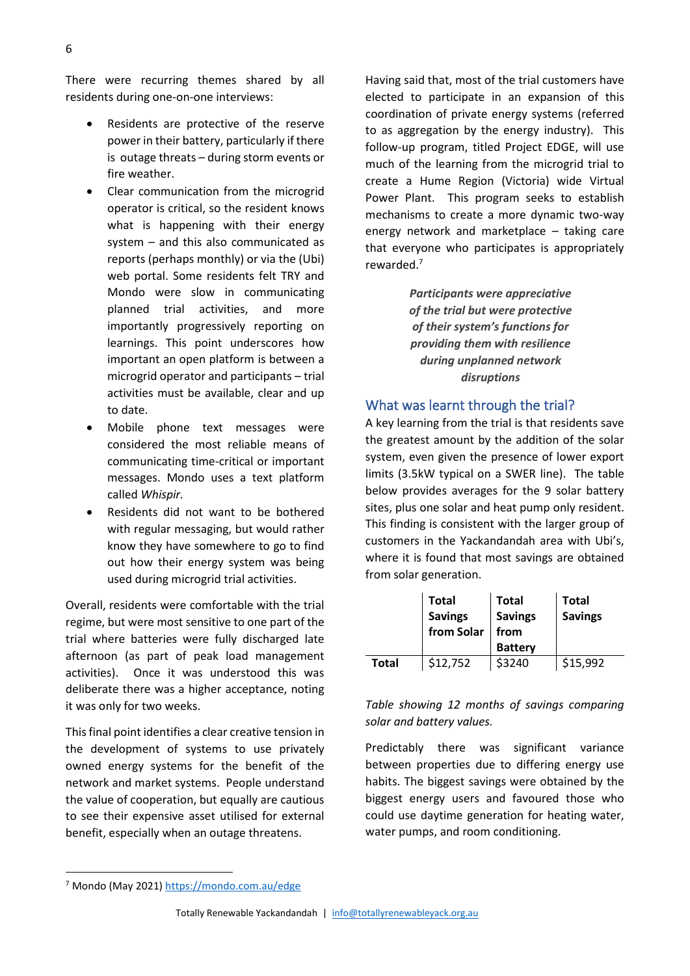There were recurring themes shared by all residents during one-on-one interviews:

- Residents are protective of the reserve power in their battery, particularly if there is outage threats – during storm events or fire weather.
- Clear communication from the microgrid operator is critical, so the resident knows what is happening with their energy system – and this also communicated as reports (perhaps monthly) or via the (Ubi) web portal. Some residents felt TRY and Mondo were slow in communicating planned trial activities, and more importantly progressively reporting on learnings. This point underscores how important an open platform is between a microgrid operator and participants – trial activities must be available, clear and up to date.
- Mobile phone text messages were considered the most reliable means of communicating time-critical or important messages. Mondo uses a text platform called *Whispir.*
- Residents did not want to be bothered with regular messaging, but would rather know they have somewhere to go to find out how their energy system was being used during microgrid trial activities.

Overall, residents were comfortable with the trial regime, but were most sensitive to one part of the trial where batteries were fully discharged late afternoon (as part of peak load management activities). Once it was understood this was deliberate there was a higher acceptance, noting it was only for two weeks.

This final point identifies a clear creative tension in the development of systems to use privately owned energy systems for the benefit of the network and market systems. People understand the value of cooperation, but equally are cautious to see their expensive asset utilised for external benefit, especially when an outage threatens.

Having said that, most of the trial customers have elected to participate in an expansion of this coordination of private energy systems (referred to as aggregation by the energy industry). This follow-up program, titled Project EDGE, will use much of the learning from the microgrid trial to create a Hume Region (Victoria) wide Virtual Power Plant. This program seeks to establish mechanisms to create a more dynamic two-way energy network and marketplace – taking care that everyone who participates is appropriately rewarded.<sup>7</sup>

> *Participants were appreciative of the trial but were protective of their system's functions for providing them with resilience during unplanned network disruptions*

# What was learnt through the trial?

A key learning from the trial is that residents save the greatest amount by the addition of the solar system, even given the presence of lower export limits (3.5kW typical on a SWER line). The table below provides averages for the 9 solar battery sites, plus one solar and heat pump only resident. This finding is consistent with the larger group of customers in the Yackandandah area with Ubi's, where it is found that most savings are obtained from solar generation.

|              | <b>Total</b>   | <b>Total</b>   | <b>Total</b>   |
|--------------|----------------|----------------|----------------|
|              | <b>Savings</b> | <b>Savings</b> | <b>Savings</b> |
|              | from Solar     | from           |                |
|              |                | <b>Battery</b> |                |
| <b>Total</b> | \$12,752       | \$3240         | \$15,992       |

## *Table showing 12 months of savings comparing solar and battery values.*

Predictably there was significant variance between properties due to differing energy use habits. The biggest savings were obtained by the biggest energy users and favoured those who could use daytime generation for heating water, water pumps, and room conditioning.

<sup>7</sup> Mondo (May 2021)<https://mondo.com.au/edge>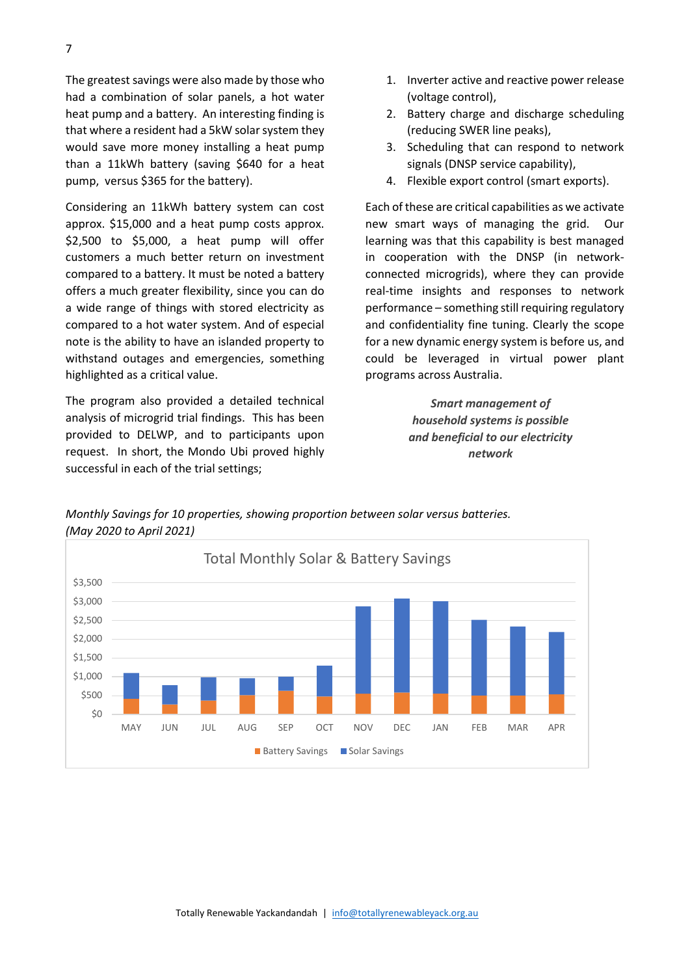The greatest savings were also made by those who had a combination of solar panels, a hot water heat pump and a battery. An interesting finding is that where a resident had a 5kW solar system they would save more money installing a heat pump than a 11kWh battery (saving \$640 for a heat pump, versus \$365 for the battery).

Considering an 11kWh battery system can cost approx. \$15,000 and a heat pump costs approx. \$2,500 to \$5,000, a heat pump will offer customers a much better return on investment compared to a battery. It must be noted a battery offers a much greater flexibility, since you can do a wide range of things with stored electricity as compared to a hot water system. And of especial note is the ability to have an islanded property to withstand outages and emergencies, something highlighted as a critical value.

The program also provided a detailed technical analysis of microgrid trial findings. This has been provided to DELWP, and to participants upon request. In short, the Mondo Ubi proved highly successful in each of the trial settings;

- 1. Inverter active and reactive power release (voltage control),
- 2. Battery charge and discharge scheduling (reducing SWER line peaks),
- 3. Scheduling that can respond to network signals (DNSP service capability),
- 4. Flexible export control (smart exports).

Each of these are critical capabilities as we activate new smart ways of managing the grid. Our learning was that this capability is best managed in cooperation with the DNSP (in networkconnected microgrids), where they can provide real-time insights and responses to network performance – something still requiring regulatory and confidentiality fine tuning. Clearly the scope for a new dynamic energy system is before us, and could be leveraged in virtual power plant programs across Australia.

> *Smart management of household systems is possible and beneficial to our electricity network*

*Monthly Savings for 10 properties, showing proportion between solar versus batteries. (May 2020 to April 2021)*

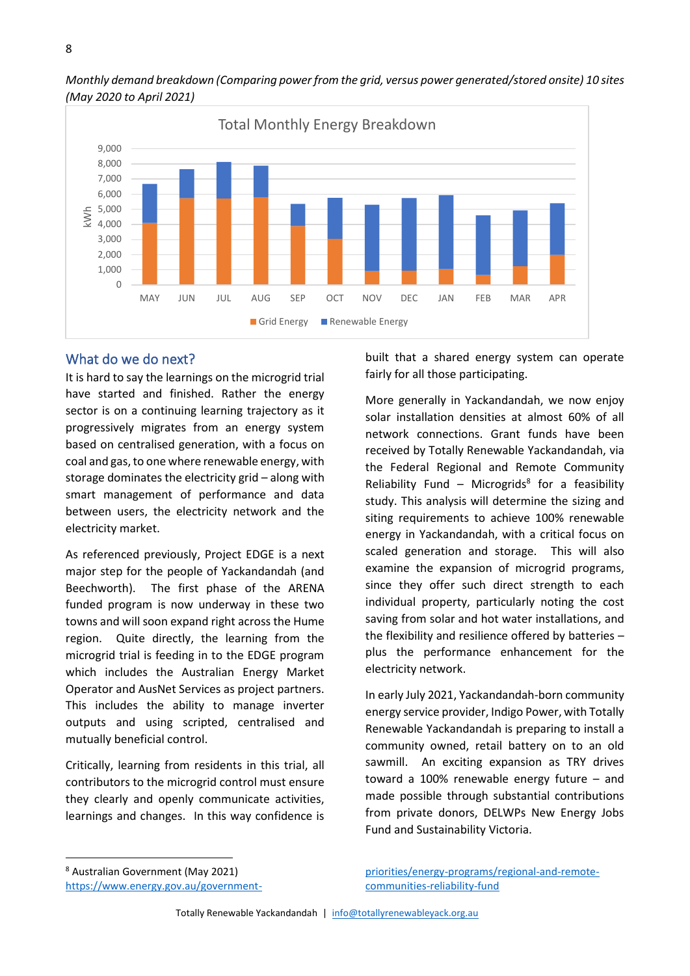



# What do we do next?

It is hard to say the learnings on the microgrid trial have started and finished. Rather the energy sector is on a continuing learning trajectory as it progressively migrates from an energy system based on centralised generation, with a focus on coal and gas, to one where renewable energy, with storage dominates the electricity grid – along with smart management of performance and data between users, the electricity network and the electricity market.

As referenced previously, Project EDGE is a next major step for the people of Yackandandah (and Beechworth). The first phase of the ARENA funded program is now underway in these two towns and will soon expand right across the Hume region. Quite directly, the learning from the microgrid trial is feeding in to the EDGE program which includes the Australian Energy Market Operator and AusNet Services as project partners. This includes the ability to manage inverter outputs and using scripted, centralised and mutually beneficial control.

Critically, learning from residents in this trial, all contributors to the microgrid control must ensure they clearly and openly communicate activities, learnings and changes. In this way confidence is

built that a shared energy system can operate fairly for all those participating.

More generally in Yackandandah, we now enjoy solar installation densities at almost 60% of all network connections. Grant funds have been received by Totally Renewable Yackandandah, via the Federal Regional and Remote Community Reliability Fund - Microgrids<sup>8</sup> for a feasibility study. This analysis will determine the sizing and siting requirements to achieve 100% renewable energy in Yackandandah, with a critical focus on scaled generation and storage. This will also examine the expansion of microgrid programs, since they offer such direct strength to each individual property, particularly noting the cost saving from solar and hot water installations, and the flexibility and resilience offered by batteries – plus the performance enhancement for the electricity network.

In early July 2021, Yackandandah-born community energy service provider, Indigo Power, with Totally Renewable Yackandandah is preparing to install a community owned, retail battery on to an old sawmill. An exciting expansion as TRY drives toward a 100% renewable energy future – and made possible through substantial contributions from private donors, DELWPs New Energy Jobs Fund and Sustainability Victoria.

<sup>8</sup> Australian Government (May 2021)

[https://www.energy.gov.au/government-](https://www.energy.gov.au/government-priorities/energy-programs/regional-and-remote-communities-reliability-fund)

[priorities/energy-programs/regional-and-remote](https://www.energy.gov.au/government-priorities/energy-programs/regional-and-remote-communities-reliability-fund)[communities-reliability-fund](https://www.energy.gov.au/government-priorities/energy-programs/regional-and-remote-communities-reliability-fund)